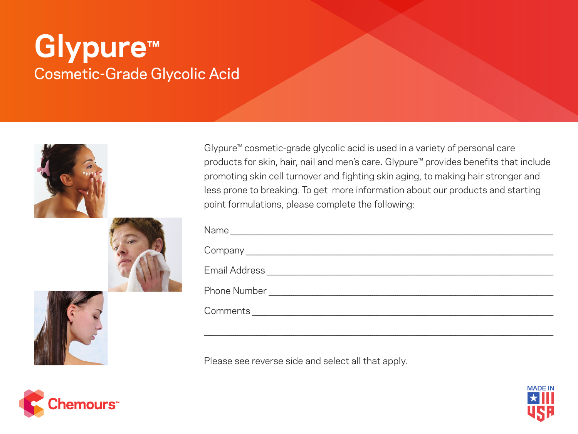## **Glypure™** Cosmetic-Grade Glycolic Acid







\_\_\_\_\_\_\_\_\_\_\_\_\_\_\_\_\_\_\_\_\_\_\_\_\_\_\_\_\_\_\_\_\_\_\_\_\_\_\_\_\_\_\_\_\_\_\_\_\_\_\_\_\_\_\_\_\_\_\_\_\_\_\_\_\_\_\_\_\_\_\_\_\_\_\_\_\_\_\_\_\_\_\_\_\_\_\_\_\_\_\_\_\_\_\_\_\_\_\_\_\_\_\_\_\_\_\_\_\_\_\_\_\_\_\_\_\_\_\_\_\_\_\_\_\_\_\_\_\_\_\_\_\_\_\_\_\_\_\_\_\_\_\_\_\_\_\_\_\_\_\_\_\_\_\_\_\_\_\_\_\_\_\_\_\_\_\_\_

Please see reverse side and select all that apply.





Glypure™ cosmetic-grade glycolic acid is used in a variety of personal care products for skin, hair, nail and men's care. Glypure™ provides benefits that include promoting skin cell turnover and fighting skin aging, to making hair stronger and less prone to breaking. To get more information about our products and starting point formulations, please complete the following: